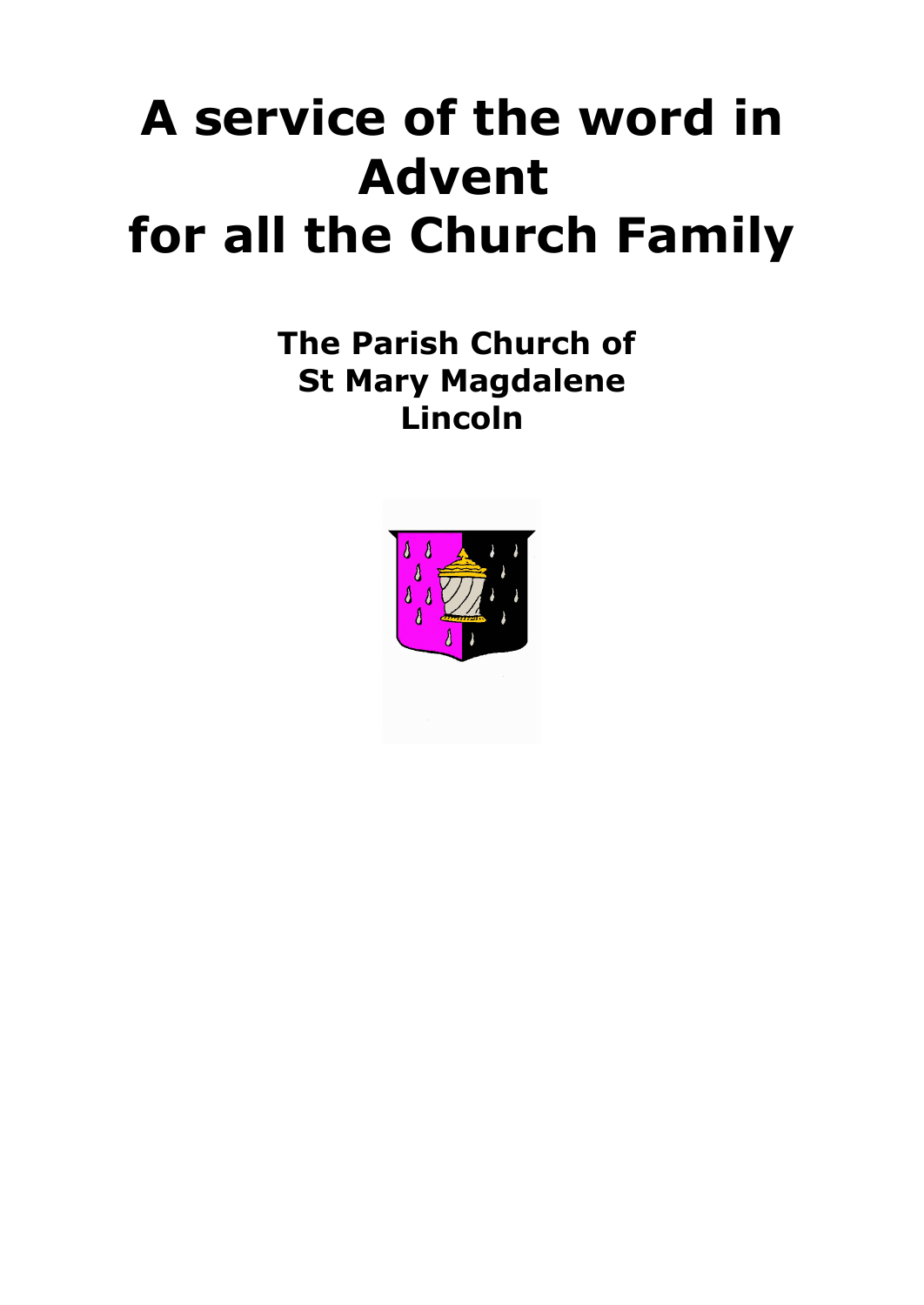# **A service of the word in Advent for all the Church Family**

**The Parish Church of St Mary Magdalene Lincoln**

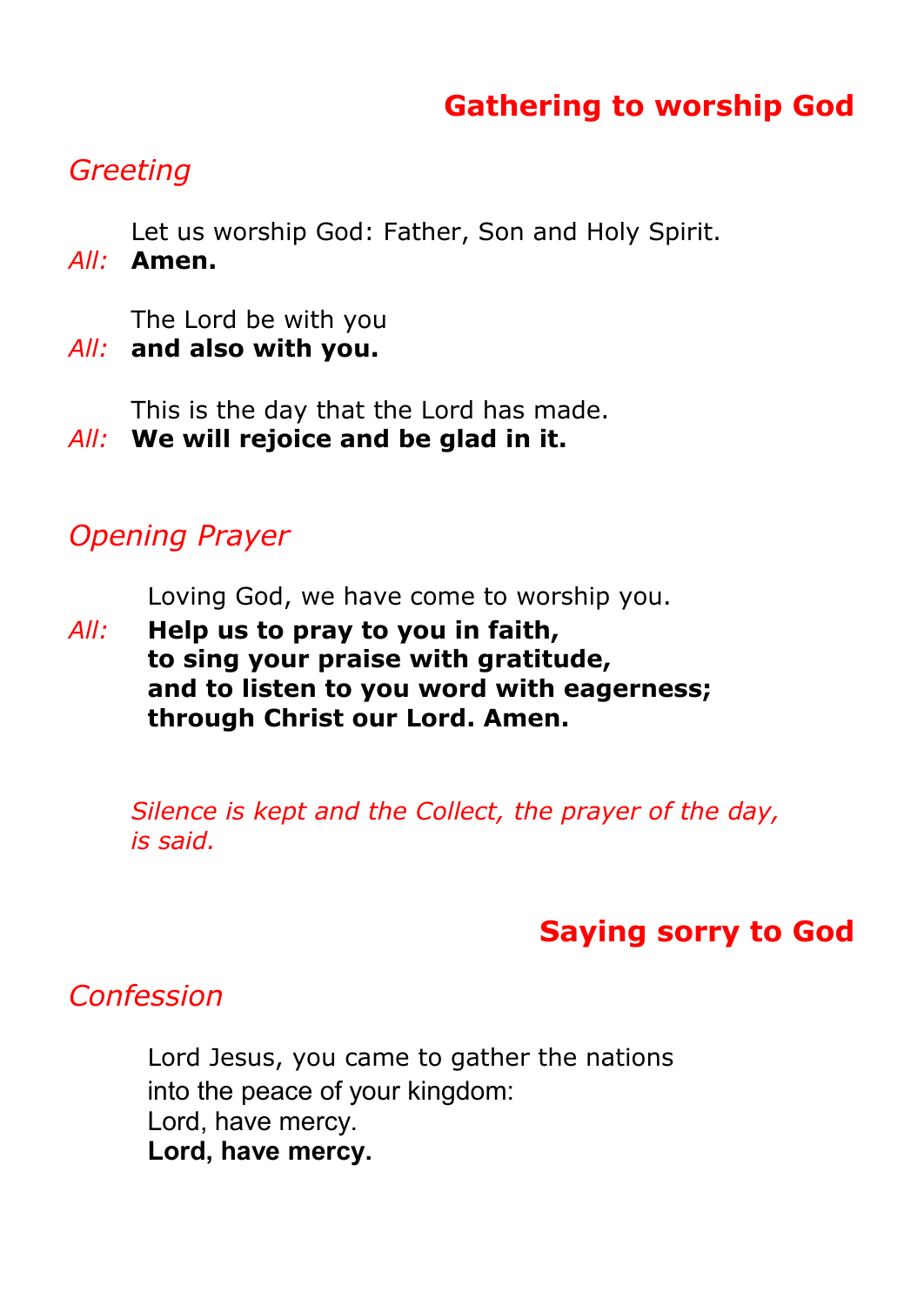## **Gathering to worship God**

## *Greeting*

Let us worship God: Father, Son and Holy Spirit. *All:* **Amen.**

The Lord be with you

*All:* **and also with you.**

This is the day that the Lord has made.

*All:* **We will rejoice and be glad in it.**

## *Opening Prayer*

Loving God, we have come to worship you.

*All:* **Help us to pray to you in faith, to sing your praise with gratitude, and to listen to you word with eagerness; through Christ our Lord. Amen.**

*Silence is kept and the Collect, the prayer of the day, is said.*

# **Saying sorry to God**

## *Confession*

Lord Jesus, you came to gather the nations into the peace of your kingdom: Lord, have mercy. **Lord, have mercy.**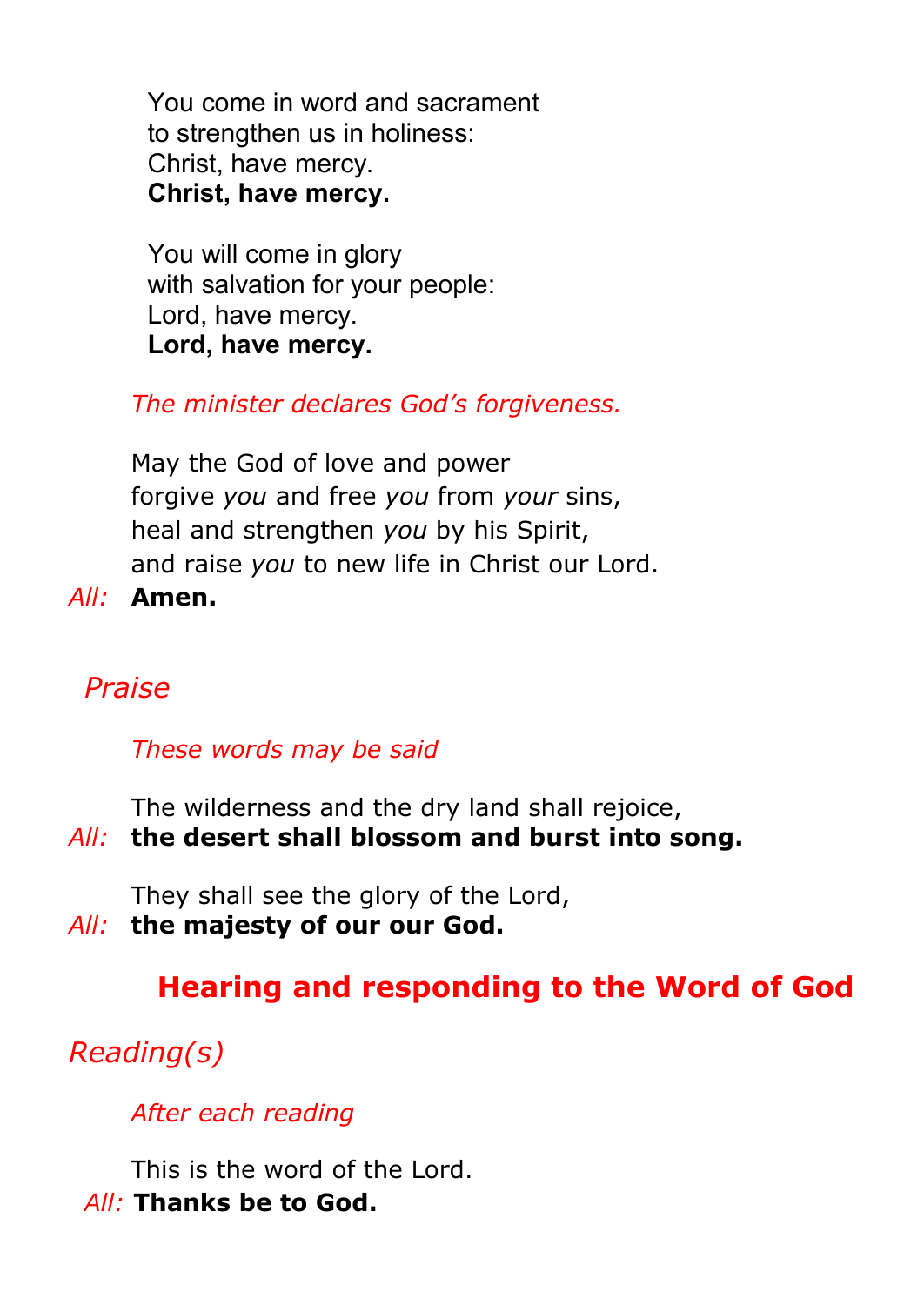You come in word and sacrament to strengthen us in holiness: Christ, have mercy. **Christ, have mercy.**

You will come in glory with salvation for your people: Lord, have mercy. **Lord, have mercy.**

*The minister declares God's forgiveness.*

May the God of love and power forgive *you* and free *you* from *your* sins, heal and strengthen *you* by his Spirit, and raise *you* to new life in Christ our Lord.

*All:* **Amen.**

## *Praise*

*These words may be said*

The wilderness and the dry land shall rejoice,

## *All:* **the desert shall blossom and burst into song.**

They shall see the glory of the Lord,

#### *All:* **the majesty of our our God.**

# **Hearing and responding to the Word of God**

*Reading(s)*

*After each reading*

This is the word of the Lord. *All:* **Thanks be to God.**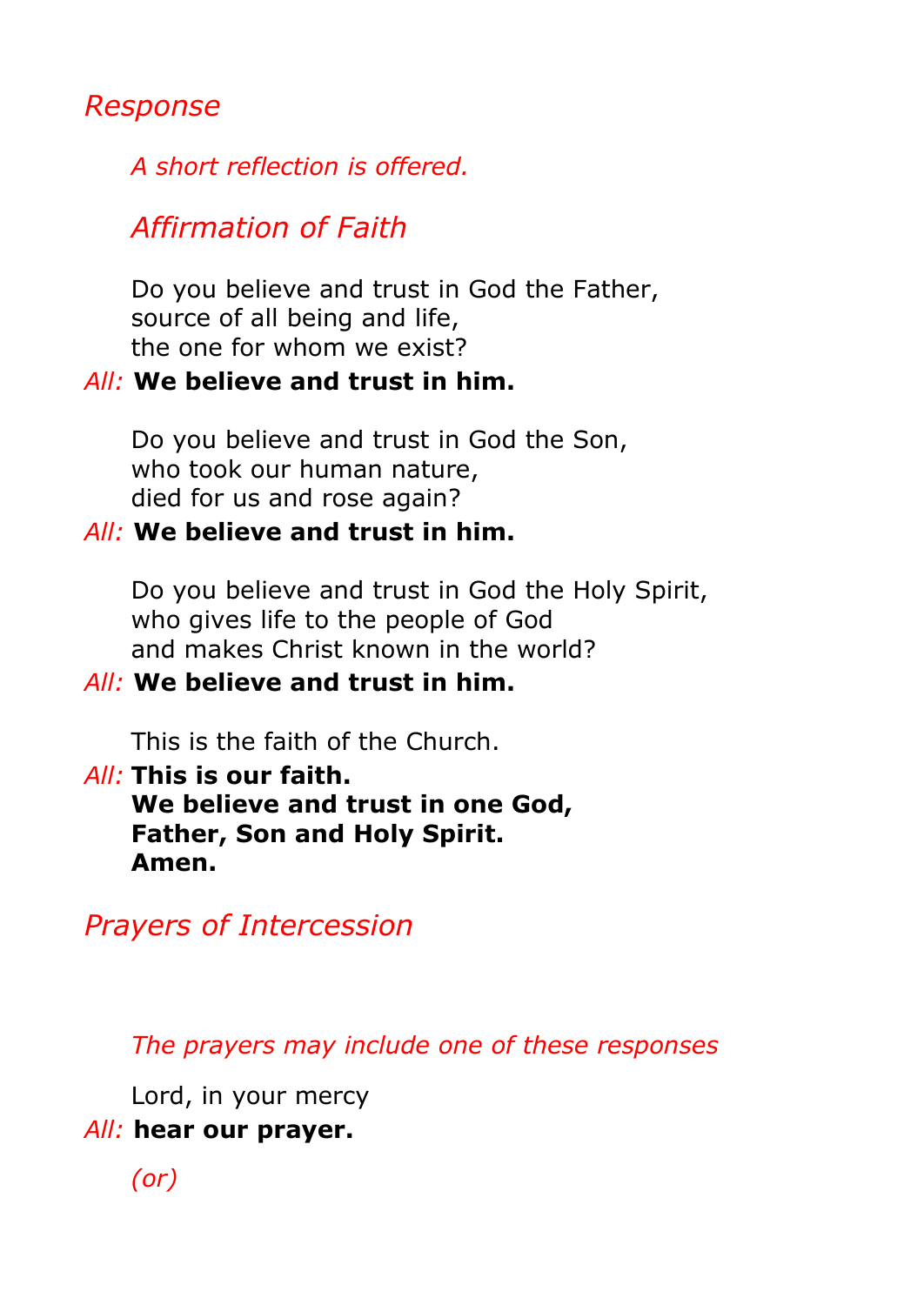#### *Response*

*A short reflection is offered.*

## *Affirmation of Faith*

Do you believe and trust in God the Father, source of all being and life, the one for whom we exist?

#### *All:* **We believe and trust in him.**

Do you believe and trust in God the Son, who took our human nature, died for us and rose again?

#### *All:* **We believe and trust in him.**

Do you believe and trust in God the Holy Spirit, who gives life to the people of God and makes Christ known in the world?

#### *All:* **We believe and trust in him.**

This is the faith of the Church.

#### *All:* **This is our faith.**

**We believe and trust in one God, Father, Son and Holy Spirit. Amen.**

## *Prayers of Intercession*

*The prayers may include one of these responses*

Lord, in your mercy

#### *All:* **hear our prayer.**

*(or)*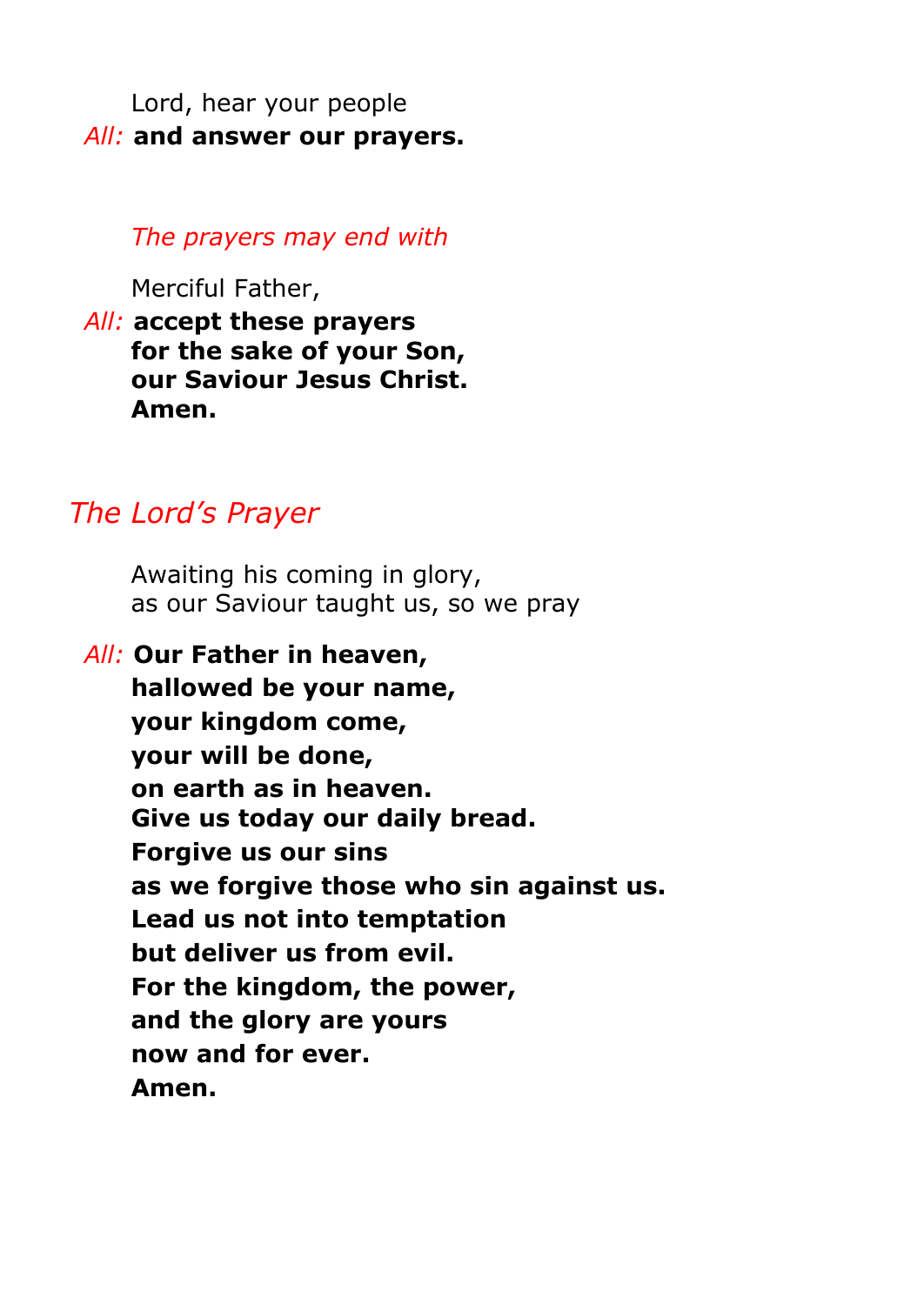Lord, hear your people *All:* **and answer our prayers.**

*The prayers may end with*

Merciful Father,

*All:* **accept these prayers for the sake of your Son, our Saviour Jesus Christ. Amen.**

## *The Lord's Prayer*

Awaiting his coming in glory, as our Saviour taught us, so we pray

*All:* **Our Father in heaven, hallowed be your name, your kingdom come, your will be done, on earth as in heaven. Give us today our daily bread. Forgive us our sins as we forgive those who sin against us. Lead us not into temptation but deliver us from evil. For the kingdom, the power, and the glory are yours now and for ever. Amen.**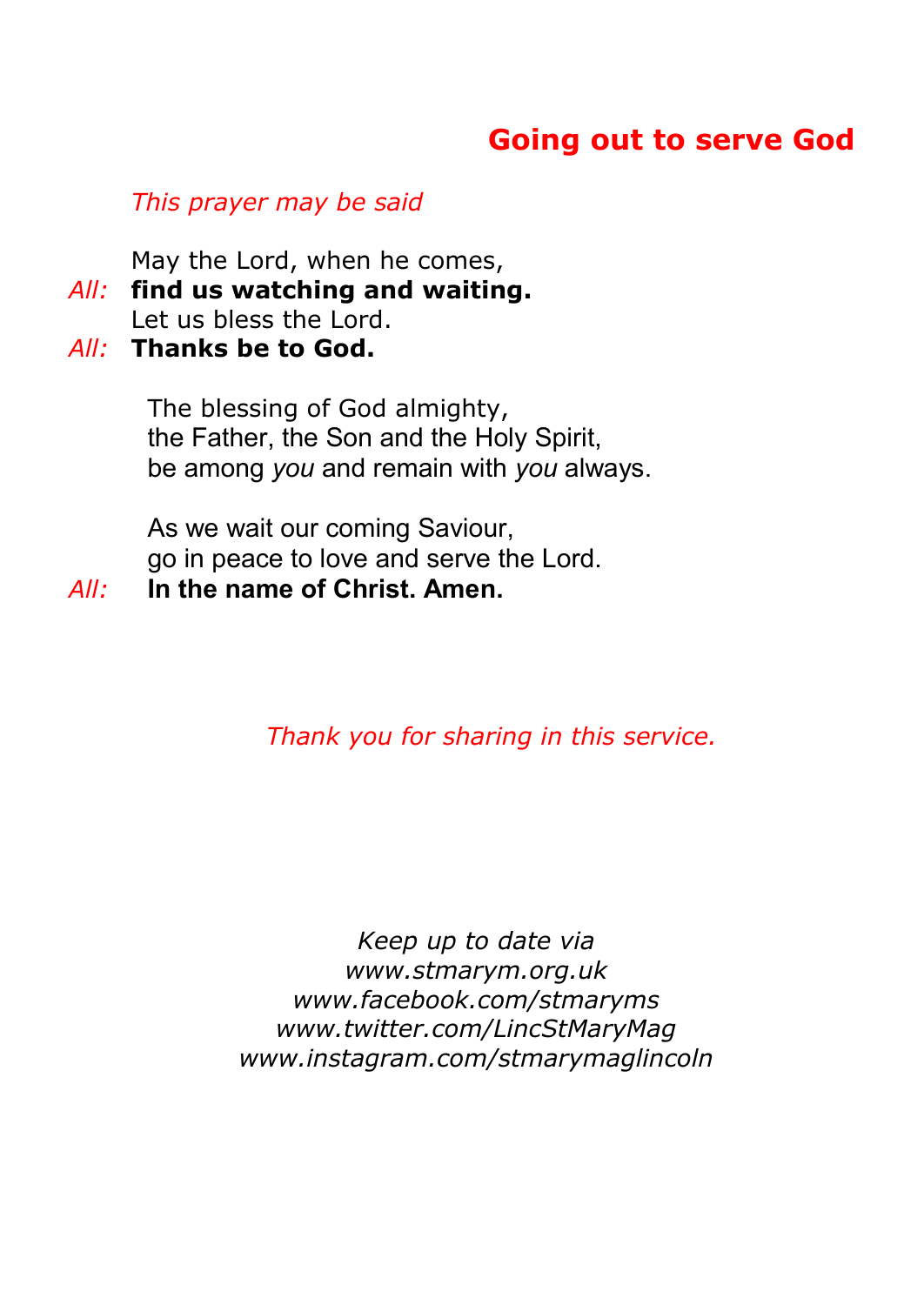## **Going out to serve God**

#### *This prayer may be said*

May the Lord, when he comes,

*All:* **find us watching and waiting.**

Let us bless the Lord.

*All:* **Thanks be to God.**

The blessing of God almighty, the Father, the Son and the Holy Spirit, be among *you* and remain with *you* always.

As we wait our coming Saviour, go in peace to love and serve the Lord.

*All:* **In the name of Christ. Amen.**

*Thank you for sharing in this service.*

*Keep up to date via www.stmarym.org.uk www.facebook.com/stmaryms www.twitter.com/LincStMaryMag www.instagram.com/stmarymaglincoln*